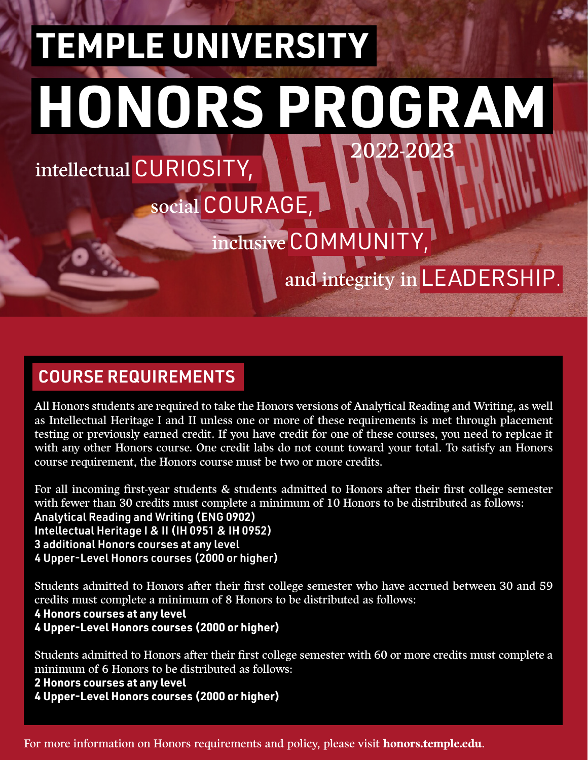# 2022-2023 **TEMPLE UNIVERSITY HONORS PROGRAM**

social COURAGE,

## intellectual CURIOSITY,

# inclusive COMMUNITY,

### and integrity in LEADERSHIP.

#### COURSE REQUIREMENTS

All Honors students are required to take the Honors versions of Analytical Reading and Writing, as well as Intellectual Heritage I and II unless one or more of these requirements is met through placement testing or previously earned credit. If you have credit for one of these courses, you need to replcae it with any other Honors course. One credit labs do not count toward your total. To satisfy an Honors course requirement, the Honors course must be two or more credits.

For all incoming first-year students & students admitted to Honors after their first college semester with fewer than 30 credits must complete a minimum of 10 Honors to be distributed as follows: Analytical Reading and Writing (ENG 0902) Intellectual Heritage I & II (IH 0951 & IH 0952) 3 additional Honors courses at any level 4 Upper-Level Honors courses (2000 or higher)

Students admitted to Honors after their first college semester who have accrued between 30 and 59 credits must complete a minimum of 8 Honors to be distributed as follows: **4 Honors courses at any level 4 Upper-Level Honors courses (2000 or higher)**

Students admitted to Honors after their first college semester with 60 or more credits must complete a minimum of 6 Honors to be distributed as follows:

**2 Honors courses at any level 4 Upper-Level Honors courses (2000 or higher)**